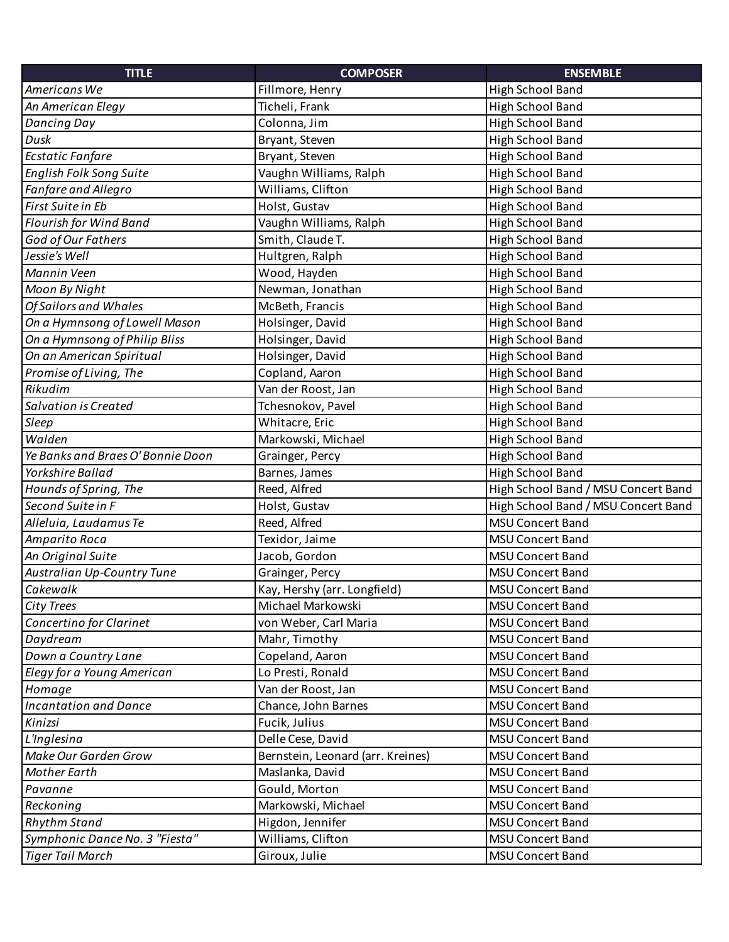| <b>TITLE</b>                     | <b>COMPOSER</b>                   | <b>ENSEMBLE</b>                     |
|----------------------------------|-----------------------------------|-------------------------------------|
| Americans We                     | Fillmore, Henry                   | High School Band                    |
| An American Elegy                | Ticheli, Frank                    | High School Band                    |
| <b>Dancing Day</b>               | Colonna, Jim                      | High School Band                    |
| Dusk                             | Bryant, Steven                    | High School Band                    |
| <b>Ecstatic Fanfare</b>          | Bryant, Steven                    | High School Band                    |
| English Folk Song Suite          | Vaughn Williams, Ralph            | High School Band                    |
| Fanfare and Allegro              | Williams, Clifton                 | High School Band                    |
| First Suite in Eb                | Holst, Gustav                     | High School Band                    |
| Flourish for Wind Band           | Vaughn Williams, Ralph            | High School Band                    |
| God of Our Fathers               | Smith, Claude T.                  | High School Band                    |
| Jessie's Well                    | Hultgren, Ralph                   | High School Band                    |
| Mannin Veen                      | Wood, Hayden                      | High School Band                    |
| Moon By Night                    | Newman, Jonathan                  | High School Band                    |
| <b>Of Sailors and Whales</b>     | McBeth, Francis                   | High School Band                    |
| On a Hymnsong of Lowell Mason    | Holsinger, David                  | High School Band                    |
| On a Hymnsong of Philip Bliss    | Holsinger, David                  | High School Band                    |
| On an American Spiritual         | Holsinger, David                  | High School Band                    |
| Promise of Living, The           | Copland, Aaron                    | High School Band                    |
| Rikudim                          | Van der Roost, Jan                | High School Band                    |
| Salvation is Created             | Tchesnokov, Pavel                 | High School Band                    |
| Sleep                            | Whitacre, Eric                    | High School Band                    |
| Walden                           | Markowski, Michael                | High School Band                    |
| Ye Banks and Braes O'Bonnie Doon | Grainger, Percy                   | High School Band                    |
| Yorkshire Ballad                 | Barnes, James                     | High School Band                    |
| Hounds of Spring, The            | Reed, Alfred                      | High School Band / MSU Concert Band |
| Second Suite in F                | Holst, Gustav                     | High School Band / MSU Concert Band |
| Alleluia, Laudamus Te            | Reed, Alfred                      | <b>MSU Concert Band</b>             |
| Amparito Roca                    | Texidor, Jaime                    | <b>MSU Concert Band</b>             |
| An Original Suite                | Jacob, Gordon                     | <b>MSU Concert Band</b>             |
| Australian Up-Country Tune       | Grainger, Percy                   | <b>MSU Concert Band</b>             |
| Cakewalk                         | Kay, Hershy (arr. Longfield)      | <b>MSU Concert Band</b>             |
| <b>City Trees</b>                | Michael Markowski                 | <b>MSU Concert Band</b>             |
| Concertino for Clarinet          | von Weber, Carl Maria             | <b>MSU Concert Band</b>             |
| Daydream                         | Mahr, Timothy                     | <b>MSU Concert Band</b>             |
| Down a Country Lane              | Copeland, Aaron                   | <b>MSU Concert Band</b>             |
| Elegy for a Young American       | Lo Presti, Ronald                 | <b>MSU Concert Band</b>             |
| Homage                           | Van der Roost, Jan                | <b>MSU Concert Band</b>             |
| <b>Incantation and Dance</b>     | Chance, John Barnes               | <b>MSU Concert Band</b>             |
| Kinizsi                          | Fucik, Julius                     | <b>MSU Concert Band</b>             |
| L'Inglesina                      | Delle Cese, David                 | <b>MSU Concert Band</b>             |
| Make Our Garden Grow             | Bernstein, Leonard (arr. Kreines) | <b>MSU Concert Band</b>             |
| Mother Earth                     | Maslanka, David                   | <b>MSU Concert Band</b>             |
| Pavanne                          | Gould, Morton                     | <b>MSU Concert Band</b>             |
| Reckoning                        | Markowski, Michael                | <b>MSU Concert Band</b>             |
| <b>Rhythm Stand</b>              | Higdon, Jennifer                  | <b>MSU Concert Band</b>             |
| Symphonic Dance No. 3 "Fiesta"   | Williams, Clifton                 | MSU Concert Band                    |
| <b>Tiger Tail March</b>          | Giroux, Julie                     | MSU Concert Band                    |